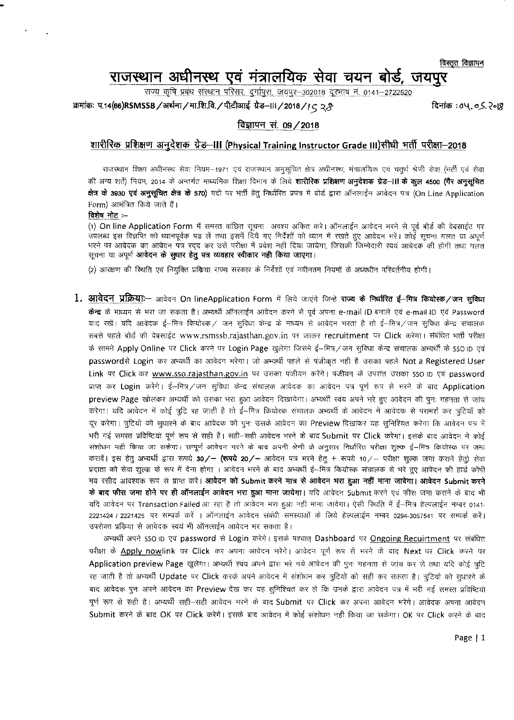विस्तृत विज्ञापन

# <sup>~</sup> <sup>~</sup> <sup>~</sup> s1?1Ili1~Cfj WIT "tfll~ iITt, **\i1l19;'<**

<u>राज्य कृषि प्रबंध संस्थान परिसर, दर्गापुरा, जयपुर-302018 दूरभाष नं. 0141-2722520</u>

: क्रमांक: प.14(66)RSMSSB / अर्थना / मा.शि.वि. / पीटीआई ग्रेड–॥। / 2018 / ١ ८ २.के स्था जिलाई के जिलाक : ७५, ०.५. २०।९

## विज्ञापन सं. 09 / 2018

## शारीरिक प्रशिक्षण अनुदेशक ग्रेड–III (Physical Training Instructor Grade III)सीधी भर्ती परीक्षा-2018

राजस्थान शिक्षा अधीनस्थ सेवा नियम-1971 एवं राजस्थान अनुसूचित क्षेत्र अधीनस्थ, मंत्रालयिक एवं चतुर्थ श्रेणी सेवा (भर्ती एवं सेवा की अन्य शर्ते) नियम, 2014 के अन्तर्गत माध्यमिक शिक्षा विभाग के लिये **शारीरिक प्रशिक्षण अनुदेशक ग्रेड—III के कूल 4500 (गैर अ** क्षेत्र के 3930 एवं अनुसुचित क्षेत्र के 570) पदों पर भर्ती हेतु निर्धारित प्रपत्र मे बोर्ड द्वारा ऑनलाईन आवेदन पत्र (On Line Application Form) आमंत्रित किये जाते हैं।

### विशेष नोट $:=$

(1) On line Application Form में समस्त वांछित सूचना अवश्य अंकित करे। ऑनलाईन आवेदन भरने से पूर्व बोर्ड की वेबसाईट पर उपलब्ध इस विज्ञप्ति को ध्यानपूर्वक पढ लें तथा इसमें दिये गए निर्देशों को ध्यान में रखते हुए आवेदन भरें। कोई सचना गलत या अपूर्ण भरने पर आवेदक का आवेदन पत्र रदद कर उसे परीक्षा में प्रवेश नहीं दिया जायेगा, जिसकी जिम्मेदारी स्वयं आवेदक की होगी तथा गलत सूचना या अपूर्ण **आवेदन के सुधार हेतु पत्र व्यवहार स्वीकार नही किया जाएगा**।

(2) आरक्षण की स्थिति एवं नियुक्ति प्रकिया राज्य सरकार के निर्देशों एवं नवीनतम नियमों के अध्यधीन परिवर्तनीय होगी।

 $1.$  आवेदन प्रक्रिया:-- आवेदन On lineApplication Form में लिये जाएंगे जिन्हे राज्य के निर्धारित ई--मित्र कियोरक/जन सुविधा केन्द्र के माध्यम से भरा जा सकता है। अभ्यर्थी ऑनलाईन आवेदन करने से पूर्व अपना e-mail ID बनाले एवं e-mail ID एवं Password याद रखें। यदि आवेदक ई–मित्र कियोस्क⁄ जन सुविधा केन्द्र के माध्यम से आवेदन भरता है तो ई–मित्र⁄जन सुविधा केन्द्र संचालक सबसे पहले बोर्ड की वेबसाईट [www.rsmssb.rajasthan.gov.in](http://www.rsmssb.rajasthan.gov.in) पर जाकर recruitment पर Click करेगा। संबंधित भर्ती परीक्षा के सामने Apply Online पर Click करने पर Login Page खुलेगा जिसमे ई-मित्र/जन सुविधा केन्द्र संचालक अभ्यर्थी के SSO ID एवं passwordसे Login कर अभ्यर्थी का आवेदन भरेगा। जो अभ्यर्थी पहले से पंजीकृत नही है उसका पहले Not a Registered User Link पर Click कर <u>[www.sso.rajasthan.gov.in](http://www.sso.rajasthan.gov.in)</u> पर उसका पंजीयन करेंगे। पंजीयन के उपरांत उसका sso ip एवं password प्राप्त कर Login करेंगे। ई-मित्र/जन सुविधा केन्द्र संचालक आवेदक का आवेदन पत्र पूर्ण रूप से भरने के बाद Application preview Page खोलकर अभ्यर्थी को उसका भरा हुआ आवेदन दिखायेगा। अभ्यर्थी रवंय अपने भरे हुए आवेदन की पुनः गहनता से जांघ करेगा। यदि आवेदन में कोई त्रुटि रह जाती है तो ई—मित्र कियोस्क संचालक अभ्यर्थी के आवेदन में आवेदक से परामर्श कर त्रुटियों को दूर करेगा। त्रूटियो को सुधारने के बाद आवेदक को पुनः उसके आवेदन का Preview दिखाकर यह सुनिश्चित करेगा कि आवेदन पत्र में भरी गई समस्त प्रविष्टियां पूर्ण रूप से सही है। सही-सही आवेदन भरने के बाद Submit पर Click करेगा। इसके बाद आवेदन में कोई संशोधन नही किया जा सकेगा। सम्पूर्ण आवेदन भरने के बाद अपनी श्रेणी के अनुसार निर्धारित परीक्षा शुल्क ई—मित्र कियोस्क पर जमा करावें। इस हेतु अभ्यर्थी द्वारा रूपये 30/- (रूपये 20/- आवेदन पत्र भरने हेतु + रूपये 10/- परीक्षा शुल्क जमा कराने हेतु) सेवा प्रदाता को सेवा शुल्क के रूप में देना होगा । आवेदन भरने के बाद अभ्यर्थी ई—मित्र कियोस्क संचालक से भरे हुए आवेदन की हार्ड कॉपी मय रसीद आवश्यक रूप से प्राप्त करें। **आवेदन को Submit करने मात्र से आवेदन भरा हुआ नहीं माना जावेगा। आवेदन Submit करने** के बाद फीस जमा होने पर ही ऑनलाईन आवेदन भरा हुआ माना जायेगा। यदि आवेदन Submit करने एवं फीस जमा कराने के बाद भी यदि आवेदन पर Transaction Failed आ रहा है तो आवेदन भरा हुआ नहीं माना जावेगा। ऐसी स्थिति में ई—मित्र हेल्पलाईन नम्बर 0141-2221424 / 2221425 पर सम्पर्क करें । ऑनलाईन आवेदन संबंधी समस्याओं के लिये हेल्पलाईन नम्बर 0294-3057541 पर सम्पर्क करें। उपरोक्त प्रकिया से आवेदक स्वयं भी ऑनलाईन आवेदन भर सकता है।

अन्यर्थी अपने SSO ID एवं password से Login करेगे। इसके पश्चात् Dashboard पर Ongoing Recuirtment पर संबंधित परीक्षा के Apply nowlink पर Click कर अपना आवेदन भरेगे। आवेदन पूर्ण रूप से भरने के बाद Next पर Click करने पर Application preview Page खुलेगा। अभ्यर्थी स्वंय अपने द्वारा भरे गये आवेदन की पुनः गहनता से जांच कर ले तथा यदि कोई त्रुटि रह जाती है तो अभ्यर्थी Update पर Click करके अपने आवेदन में संशोधन कर त्रूटियों को सही कर सकता है। त्रूटियो को सुधारने के बाद आवेदक पुनः अपने आवेदन का Preview देख कर यह सुनिश्चित कर ले कि उनके द्वारा आवेदन पत्र में भरी गई समस्त प्रविष्टिया पूर्ण रूप से सही है। अभ्यर्थी सही-सही आवेदन भरने के बाद Submit पर Click कर अपना आवेदन भरेगे। आवेदक अपना आवेदन Submit करने के बाद OK पर Click करेगें। इसके बाद आवेदन में कोई संशोधन नहीं किया जा सकेगा। OK पर Click करने के बाद

Page | 1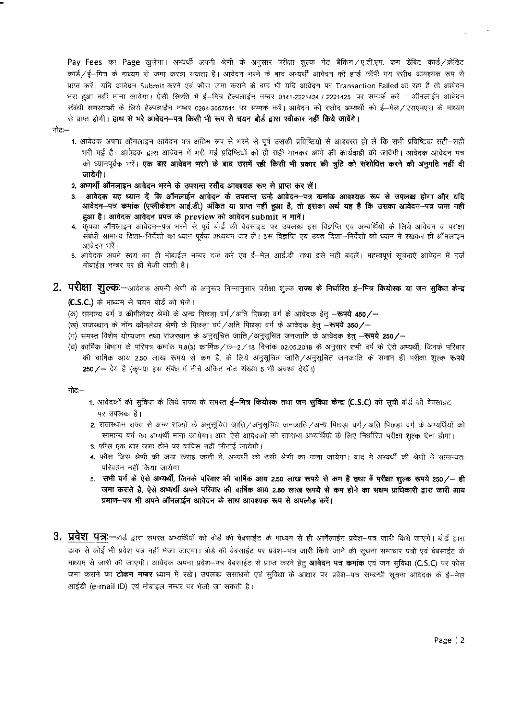Pay Fees का Page खुलेगा। अभ्यर्थी अपनी श्रेणी के अनुसार परीक्षा शुल्क नेट बैकिंग/ए.टी.एम. कम डेबिट कार्ड/क्रेडिट कार्ड/ई-मित्र के माध्यम से जमा करवा सकता है। आवेदन भरने के बाद अभ्यर्थी आवेदन की हार्ड कॉपी मय रसीद आवश्यक रूप से प्राप्त करें। यदि आवेदन Submit करने एवं फीस जमा कराने के बाद भी यदि आवेदन पर Transaction Failed आ रहा है तो आवेदन भरा हुआ नहीं माना जावेगा। ऐसी स्थिति में ई–मित्र हेल्पलाईन नम्बर 0141-2221424 / 2221425 पर सम्पर्क करें । ऑनलाईन आवेदन .<br>संबंधी समस्याओं के लिये हेल्पलाईन नम्बर 0294-3057541 पर सम्पर्क करें। आवेदन की रसीद अभ्यर्थी को ई—मेल/एसएपरस के माध्यम से प्राप्त होगी। हाथ से भरे आवेदन-पत्र किसी भी रूप से चयन बोर्ड द्वारा स्वीकार नहीं किये जावेंगे।

- नोट $-$
- 1. आवेदक अपना ऑनलाइन आवेदन पत्र अंतिम रूप से भरने से पूर्व उसकी प्रविष्टियों से आश्वस्त हो लें कि सभी प्रविष्टियां सही-सही भरी गई है। आवेदक द्वारा आवेदन में भरी गई प्रविष्टियों को ही सही मानकर आगे की कार्यवाही की जावेगी। आवेदक आवेदन पत्र को ध्यानपूर्वक भरें। **एक बार आवेदन भरने के बाद उसमें रही किसी भी प्रकार की त्रूटि को संशोधित करने की अनुमति नहीं दी** जायेगी ।
- 2. अभ्यर्थी ऑनलाइन आवेदन भरने के उपरान्त रसीद आवश्यक रूप से प्राप्त कर लें।
- आवेदक यह ध्यान दें कि ऑनलाईन आवेदन के उपरान्त उन्हे आवेदन–पत्र कमांक आवश्यक रूप से उपलब्ध होगा और यदि आवेदन-पत्र कमांक (एप्लीकेशन आई.डी.) अंकित या प्राप्त नहीं हुआ है, तो इसका अर्थ यह है कि उसका आवेदन-पत्र जमा नही हुआ है। आवेदक आवेदन प्रपत्र के preview को आवेदन submit न मानें।
- 4. कृपया ऑनलाइन आवेदन—पत्र भरने से पूर्व बोर्ड की बेवसाइट पर उपलब्ध इस विज्ञप्ति एवं अभ्यर्थियों के लिये आवेदन व परीक्षा संबंधी सामान्य दिशा—निर्देशो का ध्यान पूर्वक अध्ययन कर लें। इस विज्ञप्ति एवं उक्त दिशा—निर्देशो को ध्यान में रखकर ही ऑनलाइन आवेदन भरें।
- 5. आवेदक अपने स्वयं का ही मोबाईल नम्बर दर्ज करें एवं ई—मेल आई.डी. तथा इसे नहीं बदलें। महत्वपूर्ण सूचनाऐं आवेदन में दर्ज मोबाईल नम्बर पर ही भेजी जाती है।
- $2.$  परीक्षा शूल्क:-आवेदक अपनी श्रेणी के अनुरूप निम्नानुसार परीक्षा शुल्क राज्य **के निर्धारित ई-मित्र कियोस्क या जन सुविधा केन्द्र**  $(C.S.C.)$  के माध्यम से चयन बोर्ड को भेजे।
	- (क) सामान्य वर्ग व कीमीलेयर श्रेणी के अन्य पिछड़ा वर्ग / अति पिछड़ा वर्ग के आवेदक हेतु —**रूपये 450/—**
	- (ख) राजस्थान के नॉन कीमलेयर श्रेणी के पिछडा वर्ग / अति पिछडा वर्ग के आवेदक हेतु —**रूपये 350 /**—
	- (ग) समस्त विशेष योग्यजन तथा राजस्थान के अनुसूचित जाति ⁄ अनुसूचित जनजाति के आवेदक हेतु --**रूपये 250/--**
	- (घ) कार्मिक विभाग के परिपत्र कमांक प.8(3) कार्मिक/क—2/18 दिनांक 02.05.2018 के अनुसार सभी वर्ग के ऐसे अभ्यर्थी, जिनके परिवार की वार्षिक आय 2.50 लाख रूपये से कम है, के लिये अनुसुचित जाति ⁄ अनुसुचित जनजाति के समान ही परीक्षा शुल्क **रूपये**  $250$ /- देय है (किपया इस संबंध में नीचे अंकित नोट संख्या 5 भी अवश्य देखें।)

 $-$ :

- 1. आवेदकों की सुविधा के लिये राज्य के समस्त **ई-मित्र कियोस्क** तथा जन सुविधा केन्द्र (C.S.C) की सूची बोर्ड की वेबसाइट पर उपलब्ध है।
- 2. राजस्थान राज्य से अन्य राज्यों के अनुसूचित जाति/अनुसूचित जनजाति/अन्य पिछड़ा वर्ग/अति पिछड़ा वर्ग के अभ्यर्थियों को सामान्य वर्ग का अभ्यर्थी माना जायेगा। अतः ऐसे आवेदकों को सामान्य अभ्यर्थियों के लिए निर्धारित परीक्षा शल्क देना होगा।
- 3. फीस एक बार जमा होने पर वापिस नहीं लौटाई जायेगी।
- 4. फीस जिस श्रेणी की जमा कराई जाती है, अभ्यर्थी को उसी श्रेणी का माना जायेगा। बाद में अभ्यर्थी की श्रेणी में सामान्यतः परिवर्तन नहीं किया जायेगा।
- 5. सभी वर्ग के ऐसे अभ्यर्थी, जिनके परिवार की वार्षिक आय 2.50 लाख रूपये से कम है तथा वें परीक्षा शुल्क रूपये 250/- ही जमा कराते है, ऐसे अभ्यर्थी अपने परिवार की वार्षिक आय 2.50 लाख रूपये से कम होने का सक्षम प्राधिकारी द्वारा जारी आय प्रमाण-पत्र भी अपने ऑनलाईन आवेदन के साथ आवश्यक रूप से अपलोड करें।
- 3. प्रवेश पत्र:—बोर्ड द्वारा समस्त अभ्यर्थियों को बोर्ड की वेबसाईट के माध्यम से ही आनेंलाईन प्रवेश—पत्र जारी किये जाएंगे। बोर्ड द्वारा डाक से कोई भी प्रवेश पत्र नहीं भेजा जाएगा। बोर्ड की वेबसाईट पर प्रवेश—पत्र जारी किये जाने की सूचना समाचार पत्रों एवं वेबसाईट के माध्यम से जारी की जाएगी। आवेदक अपना प्रवेश—पत्र वेबसाईट से प्राप्त करने हेत् **आवेदन पत्र कमांक** एवं जन सुविधा (C.S.C) पर फीस जमा कराने का **टोकन नम्बर** ध्यान मे रखे। उपलब्ध संसाधनो एवं सुविधा के आधार पर प्रवेश—पत्र सम्बन्धी सूचना आवेदक के ई—मेल आईडी (e-mail ID) एवं मोबाइल नम्बर पर भेजी जा सकती है।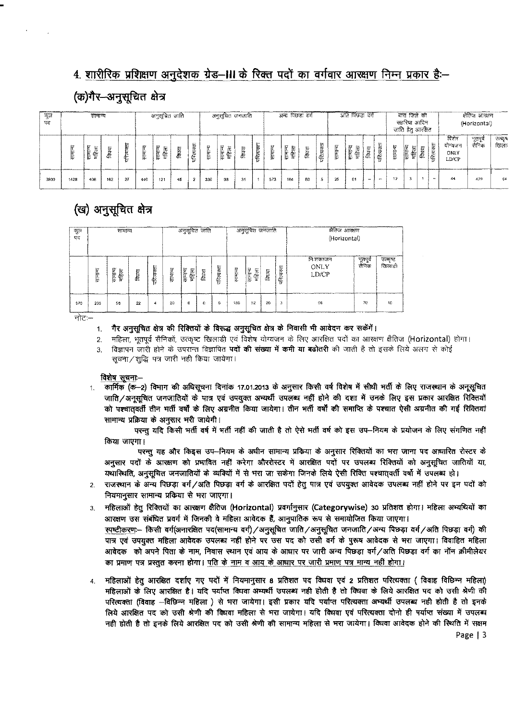## 4. शारीरिक प्रशिक्षण अनुदेशक ग्रेड-III के रिक्त पदों का वर्गवार आरक्षण निम्न प्रकार है:-

## (क)गैर-अनुसूचित क्षेत्र

| कुल<br>पद |      |                  | अनुसूचित जाति |             | अनुसूचित जनजाति |                  |              |             | अन्य पिछड़ा वर्ग |                  |    |            | अति पिछड़ा वर्ग |                   |        |            | बारा जिले की<br>सहरिया आदिन<br>जाति हेतु आरक्षित |                      |       |             | क्षेतिज आरक्षण<br>(Horizontal) |              |       |            |                                   |                  |               |
|-----------|------|------------------|---------------|-------------|-----------------|------------------|--------------|-------------|------------------|------------------|----|------------|-----------------|-------------------|--------|------------|--------------------------------------------------|----------------------|-------|-------------|--------------------------------|--------------|-------|------------|-----------------------------------|------------------|---------------|
|           | 三十   | सामान्य<br>महिला | è             | 把<br>⊷<br>∉ | link            | सामान्य<br>महिला | <b>दिघवा</b> | त्यरता<br>₠ | Ë                | सामान्य<br>महिला | छ  | परित्यक्ता | समान्य          | सामान्य<br>卮<br>售 | 居<br>ē | परित्यक्ता | समान्य                                           | 巨<br>महिला<br>i<br>E | विधवा | Ę<br>परित्य | HILL                           | ١F<br>情<br>侳 | विषया | परित्यक्ता | विशेष<br>योग्यजन<br>ONLY<br>LD/CP | भूतपूर्व<br>सनिक | ভাষ্য<br>खिला |
| 3930      | 1428 | 406              | 162           | 27          | 440             | 121              | 45           | 2           | 330              | 93               | 31 |            | 573             | 164               | 60     | 5          | 25                                               | 01                   |       | $\sim$      | 12 <sup>°</sup>                |              |       | <b>AND</b> | 44                                | 479              | 64            |

## (ख) अनुसूचित क्षेत्र

| ক্টুল<br>पद |         | सामान्य           |       |                    | अनुसूचित जाति |                  |       |           |          | अनुसूचित जनजाति   |       |           | क्षेतिज आरक्षण<br>(Horizontal) |                   |                    |  |  |  |  |
|-------------|---------|-------------------|-------|--------------------|---------------|------------------|-------|-----------|----------|-------------------|-------|-----------|--------------------------------|-------------------|--------------------|--|--|--|--|
|             | सामान्य | सामान्य<br>卮<br>卡 | विधया | Е<br>ю<br>f.<br>fr | सामान्य       | सामान्य<br>महिला | विधवा | परित्यक्त | रनामान्य | सम्मान्य<br>महिला | क्रिय | परित्यक्त | লি:হাবলতাল<br>ONLY<br>LD/CP    | भूतपूर्व<br>सैनिक | उत्कृष्ट<br>खिलाडी |  |  |  |  |
| 570         | 205     | 58                | 22    | Δ                  | 20            | 6                | c     | G         | 180      | 52                | 20    | 3         | 06                             | 70                | 10                 |  |  |  |  |

नोटः—

#### 1. गैर अनुसूचित क्षेत्र की रिक्तियों के विरूद्ध अनुसूचित क्षेत्र के निवासी भी आवेदन कर सकेंगें।

- 2. महिला, भूतपूर्व सैनिकों, उत्कृष्ट खिलाड़ी एवं विशेष योग्यजन के लिए आरक्षित पदों का आरक्षण क्षैतिज (Horizontal) होगा।
- 3. विज्ञापन जारी होने के उपरान्त विज्ञापित **पदों की संख्या में कमी या बढोतरी** की जाती है तो इसके लिये अलग से कोई सूचना/शुद्धि पत्र जारी नही किया जायेगा।

### विशेष सचना-

कार्मिक (क-2) विभाग की अधिसूचना दिनांक 17.01.2013 के अनुसार किसी वर्ष विशेष में सीधी मर्ती के लिए राजस्थान के अनूसूचित  $\mathcal{L}$ जाति/अनुसुचित जनजातियों के पात्र एवं उपयुक्त अभ्यर्थी उपलब्ध नहीं होने की दशा में उनके लिए इस प्रकार आरक्षित रिक्तियों को पश्चातवर्ती तीन भर्ती वर्षों के लिए अग्रनीत किया जायेगा। तीन भर्ती वर्षों की समाप्ति के पश्चात ऐसी अग्रनीत की गई रिक्तियां सामान्य प्रक्रिया के अनुसार भरी जायेगी।

परन्तु यदि किसी भर्ती वर्ष में भर्ती नहीं की जाती है तो ऐसे भर्ती वर्ष को इस उप–नियम के प्रयोजन के लिए संगणित नहीं किया जाएगा।

परन्तु यह और किइस उप-नियम के अधीन सामान्य प्रकिया के अनुसार रिक्तियों का भरा जाना पद आधारित रोस्टर के अनुसार पदों के आरक्षण को प्रभावित नहीं करेगा औररोस्टर में आरक्षित पदों पर उपलब्ध रिक्तियों को अनुसूचित जातियों या, यथास्थिति, अनुसूचित जनजातियों के व्यक्यिों में से भरा जा सकेगा जिनके लिये ऐसी रिक्ति पश्चात्तवर्ती वर्षो में उपलब्ध हो।

- 2. राजस्थान के अन्य पिछड़ा वर्ग/अति पिछड़ा वर्ग के आरक्षित पदों हेतु पात्र एवं उपयुक्त आवेदक उपलब्ध नहीं होने पर इन पदों को नियमानुसार सामान्य प्रकिया से भरा जाएगा।
- महिलाओं हेतु रिक्तियों का आरक्षण क्षैतिज (Horizontal) प्रवर्गानुसार (Categorywise) 30 प्रतिशत होगा। महिला अभ्यथियों का  $\bar{3}$ आरक्षण उस संबंधित प्रवर्ग में जिनकी वे महिला आवेदक हैं, आनुपातिक रूप से समायोजित किया जाएगा। स्पष्टीकरणः-- किसी वर्ग(अनारक्षित पद(सामान्य वर्ग) / अनुसूचित जाति / अनुसूचित जनजाति / अन्य पिछड़ा वर्ग / अति पिछड़ा वर्ग) की पात्र एवं उपयुक्त महिला आवेदक उपलब्ध नहीं होने पर उस पद को उसी वर्ग के पुरूष आवेदक से भरा जाएगा। विवाहित महिला आवेदक) को अपने पिता के नाम, निवास स्थान एवं आय के आधार पर जारी अन्य पिछड़ा वर्ग/अति पिछड़ा वर्ग का नॉन क्रीमीलेयर का प्रमाण पत्र प्रस्तुत करना होगा। पति के नाम व आय के आधार पर जारी प्रमाण पत्र मान्य नहीं होगा।
- 4. महिलाओं हेतू आरक्षित दर्शाए गए पदों में नियमानुसार 8 प्रतिशत पद विधवा एवं 2 प्रतिशत परित्यक्ता (विवाह विछिन्न महिला) महिलाओं के लिए आरक्षित है। यदि पर्याप्त विधवा अभ्यर्थी उपलब्ध नही होती है तो विधवा के लिये आरक्षित पद को उसी श्रेणी की परित्यक्ता (विवाह --विछिन्न महिला ) से भरा जायेगा। इसी प्रकार यदि पर्याप्त परित्यक्ता अभ्यर्थी उपलब्ध नही होती है तो इनके लिये आरक्षित पद को उसी श्रेणी की विधवा महिला से भरा जायेगा। यदि विधवा एवं परित्यक्ता दोनो ही पर्याप्त संख्या में उपलब्ध नही होती है तो इनके लिये आरक्षित पद को उसी श्रेणी की सामान्य महिला से भरा जायेगा। विधवा आवेदक होने की स्थिति में सक्षम Page | 3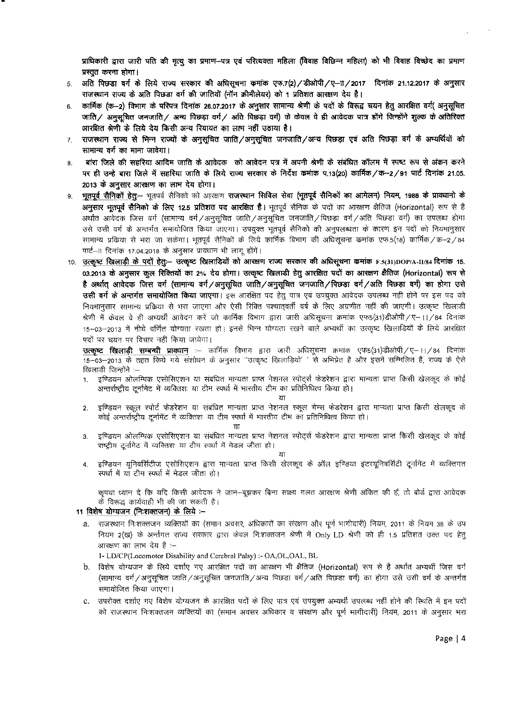प्राधिकारी द्वारा जारी पति की मृत्यु का प्रमाण–पत्र एवं परित्यक्ता महिला (विवाह विछिन्न महिला) को भी विवाह विच्छेद का प्रमाण प्रस्तुत करना होगा।

- 5. अति पिछडा वर्ग के लिये राज्य सरकार की अधिसूचना कमांक एफ.7(2) / डीओपी /ए--11 / 2017 दिनांक 21.12.2017 के अनुसार राजस्थान राज्य के अति पिछड़ा वर्ग की जातियों (नॉन क्रीमीलेयर) को 1 प्रतिशत आरक्षण देय है।
- 6. ~ कार्मिक (क—2) विमाग के परिपत्र दिनाक 26.07.2017 के अनुसार सामान्य श्रेणी के पदों के विरूद्व चयन हेतु आरक्षित वर्ग( अनुसूचित जाति/ अनुसूचित जनजाति/ अन्य पिछड़ा वर्ग/ अति पिछड़ा वर्ग) के केवल वे ही आवेदक पात्र होंगे जिन्होंने शुल्क के अतिरिक्त आरक्षित श्रेणी के लिये देय किसी अन्य रियायत का लाभ नहीं उठाया है।
- 7. राजस्थान राज्य से भिन्न राज्यों के अनुसूचित जाति/अनुसूचित जनजाति/अन्य पिछड़ा एवं अति पिछड़ा वर्ग के अभ्यर्थियों को  $\overline{r}$ सामान्य वर्ग का माना जावेगा।
- 8. वांरा जिले की सहरिया आदिम जाति के आवेदक को आवेदन पत्र में अपनी श्रेणी के संबंधित कॉलम में स्पष्ट रूप से अंकन करने पर ही उन्हे बारा जिले में सहरिया जाति के लिये राज्य सरकार के निर्देश कमांक प.13(20) कार्मिक/क-2/91 पार्ट दिनांक 21.05. 2013 के अनुसार आरक्षण का लाम देय होगा।
- 9. भूतपूर्व सैनिकों हेतु— भूतपर्व सैनिको को आरक्षण राजस्थान सिविल सेवा (भूतपूर्व सैनिकों का आमेलन) नियम, 1988 के प्राक्धानो के अनुसार भुतपूर्व सैनिको के लिए 12.5 प्रतिशत पद आरक्षित है। भूतपूर्व सैनिक के पदों का आरक्षण क्षैतिज (Horizontal) रूप से है अर्थात आवेदक जिस वर्ग (सामान्य वर्ग /अनुसूचित जाति /अनुसूचित जनजाति / पिछड़ा वर्ग /अति पिछड़ा वर्ग) का उपलब्ध होगा उसे उसी वर्ग के अन्तर्गत समायोजित किया जाएगा। उपयुक्त भूतपूर्व सैनिको की अनुपलब्धता के कारण इन पदों को नियमानुसार सामान्य प्रकिया से भरा जा सकेगा। भूतपूर्व सैनिकों के लिये कार्मिक विभाग की अधिसूचना कमांक एफ.5(18) कार्मिक/क—2/84 पार्ट–II दिनांक 17.04.2018 के अनुसार प्रावधान भी लागू होंगें।
- 10. <u>उत्कृष्ट खिलाड़ी के पदों हेतु</u>:- उत्कृष्ट खिलाडियों को आरक्षण राज्य सरकार की अधिसूचना कमांक F.5(31)DOP/A-II/84 दिनांक 15. 03.2013 के अनुसार कूल रिक्तियों का 2% देय होगा। उत्कृष्ट खिलाडी हेतु आरक्षित पदों का आरक्षण क्षैतिज (Horizontal) रूप से है अर्थात् आवेदक जिस वर्ग (सामान्य वर्ग/अनुसूचित जाति/अनुसूचित जनजाति/पिछड़ा वर्ग/अति पिछड़ा वर्ग) का होगा उसे उसी वर्ग के अन्तर्गत समायोजित किया जाएगा। इस आरक्षित पद हेतु पात्र एवं उपयुक्त आवेदक उपलब्ध नहीं होने पर इस पद को नियमानुसार सामान्य प्रकिया से भरा जाएगा और ऐसी रिक्ति पश्चात्**वर्ती वर्ष के लिए अग्रणीत नहीं की जाएगी।** उत्कृष्ट खिलाडी श्रेणी में केवल वे ही अभ्यर्थी आवेदन करें जो कार्मिक विभाग द्वारा जारी अधिसूचना क्रमांक एफ5(31)डीओपी/ए–।।/84 दिनांक 15–03–2013 में नीचे वर्णित योग्यता रखता हो। इनसे भिन्न योग्यता रखने वाले अभ्यर्थी का उत्कृष्ट खिलाडियों के लिये आरक्षित पदों पर चयन पर विचार नहीं किया जायेगा।

**उत्कृष्ट खिलाडी सम्बन्धी प्राक्धान** :— कार्मिक विभाग द्वारा जारी अधिसूचना क्रमांक एफ5(31)डीओपी / ए—।। / 84 दिनांक 15-03-2013 के तहत किये गये संशोधन के अनुसार "उत्कृष्ट खिलाड़ियो' ' से अभिप्रेत है और इसमें सम्मिलित है, राज्य के ऐसे खिलाड़ी जिन्होंने :--

1. इण्डियन ओलम्पिक एसोसिएशन या संबंधित मान्यता प्राप्त नेशनल स्पोर्ट्स फेडरेशन द्वारा मान्यता प्राप्त किसी खेलकूद के कोई अन्तर्राष्ट्रीय टूर्नामेट में व्यक्तिशः या टीम स्पर्धा में भारतीय टीम का प्रतिनिधित्व किया हो।

या

- 2. इण्डियन स्कूल स्पोर्ट फेडरेशन या संबंधित मान्यता प्राप्त नेशनल स्कूल गेम्स फेडरेशन द्वारा मान्यता प्राप्त किसी खेलकूद के कोई अन्तर्राष्ट्रीय टूर्नामेंट में व्यक्तिशः या टीम स्पर्धा में भारतीय टीम का प्रतिनिधित्व किया हो।
	-

 $TIT$ 

3. इण्डियन ओलम्पिक एसोसिएशन या संबंधित मान्यता प्राप्त नेशनल स्पोर्ट्स फेडरेशन द्वारा मान्यता प्राप्त किसी खेलकूद के कोई राष्ट्रीय दूर्नामेट में व्यक्तिशः या टीम स्पर्धा में मेडल जीता हो।

"£IT

4. <sup>~</sup> qf1aRkl\ii C!'lilR'iC!~1'1 &m =r=mt mt{f fcIR:fi ~ *ci>* 3l'fcq <sup>~</sup> ~·cxqf1aRfc."1 ~ # C£lFcl"t1ll(1 m# "£ITt'r1 m# <sup>~</sup> \JlTm ml

*क्*पया ध्यान दें कि यदि किसी आवेदक ने जान—बूझकर बिना साक्ष्य गलत आरक्षण श्रेणी अंकित की हैं, तो बोर्ड द्वारा आवेदक *-* के विरूद्ध कार्यवाही भी की जा सकती है।

#### 11 विशेष योग्यजन (निःशक्तजन) के लिये :--

a. राजस्थान निःशक्तजन व्यक्तियों का (समान अवसर, अधिकारों का संरक्षण और पूर्ण भागीदारी) नियम, 2011 के नियम 38 के उप नियम 2(ख) के अर्न्तगत राज्य सरकार द्वारा केवल निःशक्तजन श्रेणी में Only LD श्रेणी को ही 1.5 प्रतिशत उक्त पद हेतु आरक्षण का लाभ देय है :--

1- LD/CP(Locomotor Disability and Cerebral Palsy) :- OA,OL,OAL, BL

- b. विशेष योग्यजन के लिये दर्शाए गए आरक्षित पदों का आरक्षण भी क्षैतिज (Horizontal) रूप से है अर्थात अभ्यर्थी जिस वर्ग (सामान्य वर्ग */* अनुसूचित जाति / अनुसूचित जनजाति / अन्य पिछड़ा वर्ग / अति पिछडा वर्ग) का होगा उसे उसी वर्ग के अन्तर्गत समायोजित किया जाएगा।
- c. जपरोक्त दर्शाए गए विशेष योग्यजन के आरक्षित पदों के लिए पात्र एवं उपयुक्त अभ्यर्थी उपलब्ध नहीं होने की स्थिति में इन पदों को राजस्थान निःशक्तजन व्यक्तियों का (समान अवसर अधिकार व संरक्षण और पूर्ण भागीदारी) नियम, 2011 के अनुसार भरा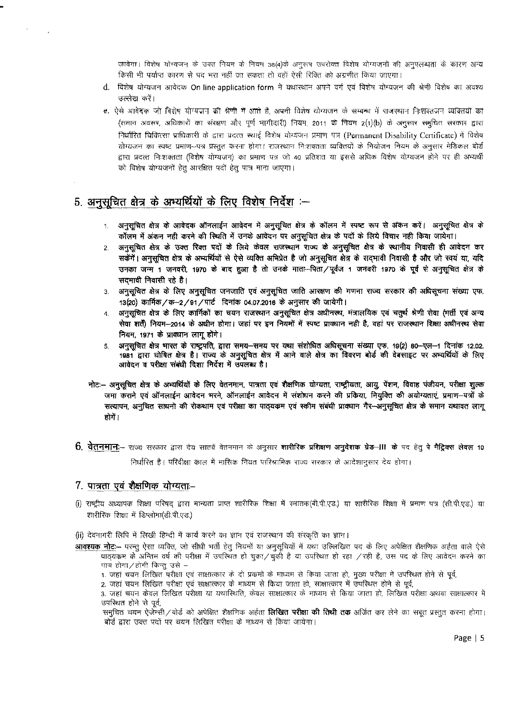जावेगा। विशेष योग्यजन के उक्त नियम के नियम 38(4)के अनूरूप उपरोक्त विशेष योग्यजनों की अनुपलब्धता के कारण अन्य किसी भी पर्याप्त कारण से पद भरा नहीं जा सकता तो वहाँ ऐसी रिक्ति को अग्रणीत किया जाएगा।

- d. विशेष योग्यजन आवेदक On line application form में यथास्थान अपने वर्ग एवं विशेष योग्यजन की श्रेणी विशेष का अवश्य उल्लेख करें।
- e. ऐसे आवेदक जो विशेष योग्यजन की श्रेणी में आते है, अपनी विशेष योग्यजन के सम्बन्ध में राजस्थान निःशक्तजन व्यक्तियों का (समान अवसर, अधिकारों का संरक्षण और पूर्ण भागीदारी) नियम, 2011 के नियम 2(1)(b) के अनुसार समुचित सरकार द्वारा निर्धारित चिकित्सा प्राधिकारी के द्वारा प्रदत्त स्थाई विशेष योग्यजन प्रमाण पत्र (Permanent Disability Certificate) में विशेष योग्यजन का स्पष्ट प्रमाण--पत्र प्रस्तुत करना होगा। राजस्थान निःशक्तता व्यक्तियों के नियोजन नियम के अनुसार मेडिकल बोर्ड द्वारा प्रदत्त निःशक्तता (विशेष योग्यजन) का प्रमाण पत्र जो 40 प्रतिशत या इससे अधिक विशेष योग्यजन होने पर ही अभ्यर्थी को विशेष योग्यजनों हेतु आरक्षित पदों हेतु पात्र माना जाएगा।

## 5. अनुसूचित क्षेत्र के अभ्यर्थियों के लिए विशेष निर्देश :-

 $\bar{\ell}$ 

- 1. अनुसूचित क्षेत्र के आवेदक ऑनलाईन आवेदन में अनुसूचित क्षेत्र के कॉलम में स्पष्ट रूप से अंकन करें। अनुसूचित क्षेत्र के कॉलम में अंकन नही करने की स्थिति में उनके आवेदन पर अनुसूचित क्षेत्र के पदों के लिये विचार नही किया जायेगा।
- अनुसुचित क्षेत्र के उक्त रिक्त पदों के लिये केवल राजस्थान राज्य के अनुसूचित क्षेत्र के स्थानीय निवासी ही आवेदन कर  $2.$ सकेंगें। अनुसूचित क्षेत्र के अभ्यर्थियों से ऐसे व्यक्ति अभिप्रेत है जो अनुसूचित क्षेत्र के सदभावी निवासी है और जो स्वयं या, यदि उनका जन्म 1 जनवरी, 1970 के बाद हुआ है तो उनके माता—पिता ⁄ पूर्वज 1 जनवरी 1970 के पूर्व से अनुसूचित क्षेत्र के सदमावी निवासी रहे है।
- अनुसूचित क्षेत्र के लिए अनुसूचित जनजाति एवं अनुसूचित जाति आरक्षण की गणना राज्य सरकार की अधिसूचना संख्या एफ.  $3<sup>1</sup>$ 13(20) कार्मिक/क-2/91/पार्ट दिनांक 04.07.2016 के अनुसार की जायेगी।
- अनुसूचित क्षेत्र के लिए कार्मिकों का चयन राजस्थान अनुसूचित क्षेत्र अधीनस्थ, मंत्रालयिक एवं चतुर्थ श्रेणी सेवा (मर्ती एवं अन्य  $4<sup>1</sup>$ सेवा शर्तें) नियम-2014 के अधीन होगा। जहां पर इन नियमों में स्पष्ट प्राक्धान नही है, वहां पर राजस्थान शिक्षा अधीनस्थ सेवा नियम, 1971 के प्राक्धान लागू होंगे।
- अनुसूचित क्षेत्र भारत के राष्ट्रपति, द्वारा समय-समय पर यथा संशोधित अधिसूचना संख्या एफ. 19(2) 80-एल-1 दिनांक 12.02. 5. 1981 द्वारा घोषित क्षेत्र है। राज्य के अनुसूचित क्षेत्र में आने वाले क्षेत्र का विवरण बोर्ड की वेबसाइट पर अम्यर्थियों के लिए आवेदन व परीक्षा संबंधी दिशा निर्देश में उपलब्ध है।
- नोट:-- अनुसुचित क्षेत्र के अभ्यर्थियों के लिए वेतनमान, पात्रता एवं शैक्षणिक योग्यता, राष्ट्रीयता, आयु, पेंशन, विवाह पंजीयन, परीक्षा शुल्क जमा कराने एवं ऑनलाईन आवेदन भरने, ऑनलाईन आवेदन में संशोधन करने की प्रक्रिया, नियुक्ति की अयोग्यताएं, प्रमाण–पत्रों के सत्यापन, अनुचित साधनो की रोकथाम एवं परीक्षा का पाठ्यकम एवं स्कीम संबंधी प्रावधान गैर—अनुसूचित क्षेत्र के समान यथावत लागू होगें ।
- 6. वेतनमान:-- राज्य सरकार द्वारा देय सातवें वेतनमान के अनुसार शारीरिक प्रशिक्षण अनुदेशक ग्रेड-III के पद हेतु पे मैट्रिक्स लेवल 10 निर्धारित है। परिवीक्षा काल में मासिक नियत पारिश्रामिक राज्य सरकार के आदेशानुसार देय होगा।

### 7. पात्रता एवं शैक्षणिक योग्यताः–

- (i) राष्ट्रीय अध्यापक शिक्षा परिषद् द्वारा मान्यता प्राप्त शारीरिक शिक्षा में स्नातक(बी.पी.एड.) या शारीरिक शिक्षा में प्रमाण पत्र (सी.पी.एड.) या शारीरिक शिक्षा में डिप्लोमा(डी.पी.एड.)
- (ii) देवनागरी लिपि में लिखी हिन्दी में कार्य करने का ज्ञान एवं राजस्थान की संस्कृति का ज्ञान।
- **आवश्यक नोट:--** परन्तु ऐसा व्यक्ति, जो सीधी भर्ती हेतु नियमों या अनुसूचियों में यथा उल्लिखित पद के लिए अपेक्षित शैक्षणिक अर्हता वाले ऐसे पाठ्यकम के अन्तिम वर्ष की परीक्षा में उपस्थित हो चुका/चुकी है या उपस्थित हो रहा /रही है, उस पद के लिए आवेदन करने का पात्र होगा/होगी किन्तु उसे –
	- 1. जहां चयन लिखित परीक्षा एवं साक्षात्कार के दो प्रकमों के माध्यम से किया जाता हो, मुख्य परीक्षा में उपस्थित होने से पूर्व,

2. जहां चयन लिखित परीक्षा एवं साक्षात्कार के माध्यम से किया जाता हो, साक्षात्कार में उपस्थित होने से पूर्व,

3. जहां चयन केवल लिखित परीक्षा या यथास्थिति, केवल साक्षात्कार के माध्यम से किया जाता हो, लिखित परीक्षा अथवा साक्षात्कार में उपस्थित होने से पूर्व,

समुचित चयन ऐजेन्सी ⁄ बोर्ड को अपेक्षित शैक्षणिक अर्हता **लिखित परीक्षा की तिथी तक** अर्जित कर लेने का सबूत प्रस्तुत करना होगा। बोर्ड द्वारा उक्त पदों पर चयन लिखित परीक्षा के माध्यम से किया जायेगा।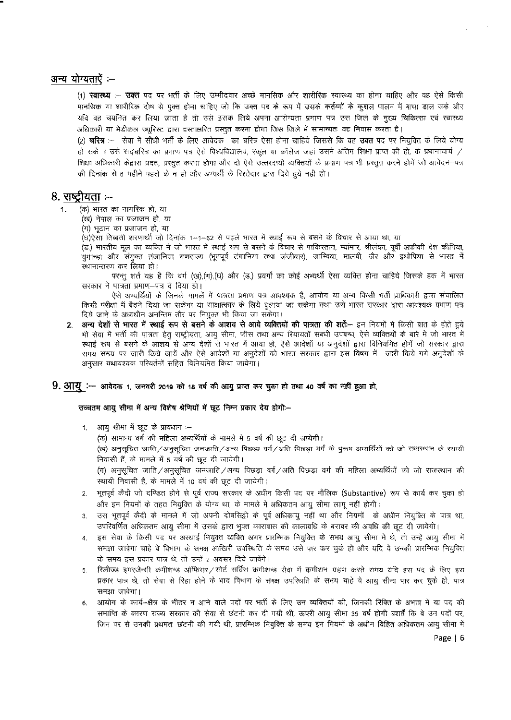## अन्य योग्यताऐं :--

(1) **स्वास्थ्य** :— **उक्त** पद पर भर्ती के लिए उम्मीदवार अच्छे मानसिक और शारीरिक स्वास्थ्य का होना चाहिए और वह ऐसे किसी मानसिक या शारीरिक दोष से मुक्त होना चाहिए जो कि उक्त पद के रूप में उसके कर्तव्यों के कुशत पातन में बाधा डाल सके और यदि वह चयनित कर लिया जाता है तो उसे इसके लिये अपना आरोग्यता प्रमाण पत्र उस जिले के मुख्य चिकित्सा एवं स्वास्थ्य अधिकारी या मेडीकल ज्यूरिस्ट द्वारा हस्ताक्षरित प्रस्तुत करना होगा जिस जिले में सामान्यतः वह निवास करता है।

(2) **चरित्र** :— सेवा में सीधी भर्ती के लिए आवेदक का चरित्र ऐसा होना चाहिये जिससे कि वह **उक्त** पद पर नियुक्ति के लिये योग्य हो सके । उसे सदचरित्र का प्रमाण पत्र ऐसे विश्वविद्यालय, स्कूल या कॉलेज जहां उसने अंतिम शिक्षा प्राप्त की हो, के प्रधानाचार्य / शिक्षा अधिकारी केद्वारा प्रदत्त, प्रस्तुत करना होगा और दो ऐसे उत्तरदायी व्यक्तियों के प्रमाण पत्र भी प्रस्तुत करने होगें जो आवेदन--पत्र की दिनांक से 6 महीने पहले के न हो और अभ्यर्थी के रिश्तेदार द्वारा दिये हुये नही हो।

## 8. राष्ट्रीयता :–

- (क) भारत का नागरिक हो, या 1.
	- (ख) नेपाल का प्रजाजन हो, या
	- (ग) भूटान का प्रजाजन हो, या

(घ)ऐसा तिब्बती शरणार्थी जो दिनांक 1–1–62 से पहले भारत में स्थाई रूप से बसने के विचार से आया था, या

(ड.) भारतीय मूल का व्यक्ति ने जो भारत में स्थाई रूप से बसने के विचार से पाकिस्तान, म्यांमार, श्रीलंका, पूर्वी अफ्रीकी देश कीनिया, युगान्डा और संयुक्त तंजानिया गणराज्य (भूतपूर्व टंगानिया तथा जंजीबार), जाम्विया, मालवी, जैर और इथोपिया से भारत में स्थानान्तरण कर लिया हो।

परन्तु शर्त यह है कि वर्ग (ख),(ग),(घ) और (ड.) प्रवर्गों का कोई अभ्यर्थी ऐसा व्यक्ति होना चाहिये जिसके हक में भारत सरकार ने पात्रता प्रमाण-पत्र दे दिया हो।

ऐसे अभ्यर्थियों के जिनके मामलें में पात्रता प्रमाण पत्र आवश्यक है, आयोग या अन्य किसी भर्ती प्राधिकारी द्वारा संचालित किसी परीक्षा में बैठने दिया जा सकेगा या साक्षात्कार के लिये बुलाया जा सकेगा तथा उसे भारत सरकार द्वारा आवश्यक प्रमाण पत्र दिये जाने के अध्यधीन अनन्तिम तौर पर नियुक्त भी किया जा सकेगा।

अन्य देशों से भारत में स्थाई रूप से बसने के आशय से आये व्यक्तियों की पात्रता की शर्ते— इन नियमों में किसी बात के होते हुये  $2.$ भी सेवा में भर्ती की पात्रता हेतु राष्ट्रीयता, आयु सीमा, फीस तथा अन्य रियायतों संबंधी उपबन्ध, ऐसे व्यक्तियों के बारे में जो भारत में स्थाई रूप से बसने के आशय से अन्य देशों से भारत में आया हो, ऐसे आदेशों या अनुदेशों द्वारा विनियमित होगें जो सरकार द्वारा समय समय पर जारी किये जायें और ऐसे आदेशों या अनुदेशों को भारत सरकार द्वारा इस विषय में जारी किये गये अनुदेशों के अनुसार यथावश्यक परिवर्तनों सहित विनियमित किया जायेगा।

## 9. आयू :- आवेदक 1, जनवरी 2019 को 18 वर्ष की आयु प्राप्त कर चुका हो तथा 40 वर्ष का नहीं हुआ हो,

उच्चतम आयु सीमा में अन्य विशेष श्रेणियों में छूट निम्न प्रकार देय होगी:--

1. आयु सीमा में छूट के प्रावधान :--

(क) सामान्य वर्ग की महिला अभ्यर्थियों के मामले में 5 वर्ष की छूट दी जायेगी।

(ख) अनुसूचित जाति /अनुसूचित जनजाति /अन्य पिछड़ा वर्ग /अति पिछड़ा वर्ग के पुरूष अभ्यर्थियों को जो राजस्थान के स्थायी निवासी हैं, के मामले में 5 वर्ष की छूट दी जायेगी।

(ग) अनुसूचित जाति /अनुसूचित जनजाति /अन्य पिछड़ा वर्ग /अति पिछड़ा वर्ग की महिला अभ्यर्थियों को जो राजस्थान की स्थायी निवासी है, के मामले में 10 वर्ष की छूट दी जायेगी।

- 2. भूतपूर्व कैदी जो दण्डित होने से पूर्व राज्य सरकार के अधीन किसी पद पर मौलिक (Substantive) रूप से कार्य कर चुका हो ,और इन नियमों के तहत नियुक्ति के योग्य था, के मामले में अधिकतम आयु सीमा लागू नहीं होगी।
- उस भूतपूर्व कैदी के मामले में जो अपनी दोषसिद्दी के पूर्व अधिकायु नहीं था और नियमों के अधीन नियुक्ति के पात्र था, 3. उपरिवर्णित अधिकतम आयु सीमा में उसके द्वारा भुक्त काराबास की कालावधि के बराबर की अवधि की छूट दी जायेगी।
- इस सेवा के किसी पद पर अस्थाई नियुक्त व्यक्ति अगर प्रारम्भिक नियुक्ति के समय आयु सीमा मे थे, तो उन्हें आयु सीमा में  $4.$ समझा जावेगा चाहे वे विभाग के समक्ष आखिरी उपस्थिति के समय उसे पार कर चुके हो और यदि वे उनकी प्रारम्भिक नियुक्ति के समय इस प्रकार पात्र थे, तो उन्हें 2 अवसर दिये जावेंगे।
- रिलीज्ड इमरजेन्सी कमीशन्ड ऑफिसर/सोर्ट सर्विस कमीशन्ड सेवा में कमीशन ग्रहण करते समय यदि इस पद के लिए इस 5. प्रकार पात्र थे, तो सेवा से रिहा होने के बाद विभाग के समक्ष उपस्थिति के समय चाहे वे आयु सीमा पार कर चुके हो, पात्र समझा जावेगा।
- आयोग के कार्य—क्षेत्र के भीतर न आने वाले पदों पर भर्ती के लिए उन व्यक्तियों की, जिनकी रिक्ति के अभाव में या पद की 6. समाप्ति के कारण राज्य सरकार की सेवा से छंटनी कर दी गयी थी, ऊपरी आयु सीमा 35 वर्ष होगी बशर्तें कि वे उन पदों पर, जिन पर से उनकी प्रथमतः छंटनी की गयी थी, प्रारम्भिक नियुक्ति के समय इन नियमों के अधीन विहित अधिकतम आयु सीमा में

Page | 6

 $\sim$   $\epsilon$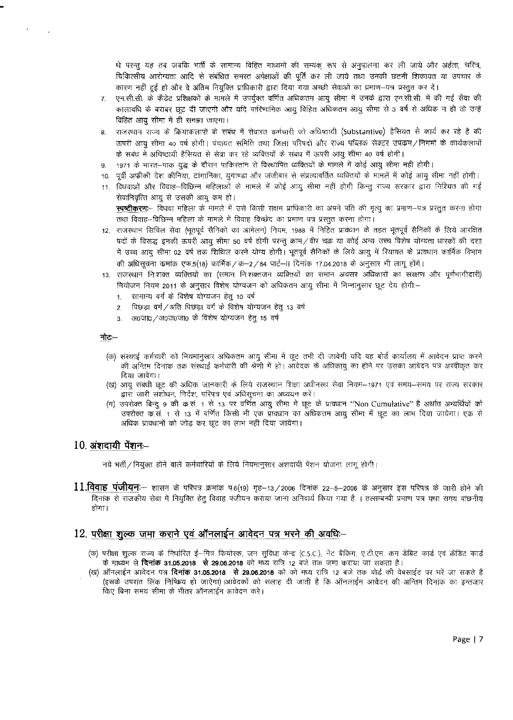थे परन्तु यह तब जबकि भर्ती के सामान्य विहित माध्यमों की सम्यक् रूप से अनुपालना कर ली जाये और अर्हता, चरित्र, चिकित्सीय आरोग्यता आदि से संबंधित समस्त अपेक्षाओं की पूर्ति कर ली जाये तथा उनकी छंटनी शिकायत या उपचार के कारण नहीं हुई हो और वे अंतिम नियुक्ति प्राधिकारी द्वारा दिया गया अच्छी सेवाओं का प्रमाण-पत्र प्रस्तुत कर दें।

- एन.सी.सी. के कैडेट प्रशिक्षकों के मामले में उपर्युक्त वर्णित अधिकतम आयु सीमा में उनके द्वारा एन.सी.सी. में की गई सेवा की  $\overline{7}$ . कालावधि के बराबर छूट दी जाएगी और यदि पारिणामिक आयु विहित अधिकतम आयु सीमा से 3 वर्ष से अधिक न हो तो उन्हें विहित आयु सीमा में ही समझा जाएगा।
- राजस्थान राज्य के क्रियाकलापों के संबंध में सेवारत कर्मचारी जो अधिष्ठायी (Substantive) हैसियत से कार्य कर रहे है की 8. ऊपरी आयु सीमा 40 वर्ष होगी। पंचायत समिति तथा जिला परिषदों और राज्य पब्लिक सेक्टर उपक्रम / निगमों के कार्यकलापो के सबंध में अधिष्ठायी हैसियत से सेवा कर रहे व्यक्तियों के संबंध में ऊपरी आयु सीमा 40 वर्ष होगी।
- 1971 के भारत-पाक युद्ध के दौरान पाकिस्तान से विस्थापित व्यक्तियों के मामले में कोई आयु सीमा नही होगी। 9.
- 10. पूर्वी अफ्रीकी देश कीनिया, टांगानिका, युगाण्डा और जंजीबार से संप्रत्यावर्तित व्यक्तियों के मामलें में कोई आयु सीमा नहीं होगी।
- 11. विधवाओं और विवाह—विछिन्न महिलाओं के मामले में कोई आयु सीमा नहीं होगी किन्तु राज्य सरकार द्वारा निश्चित की गई सेवानिवृत्ति आयु से उसकी आयु कम हो। **स्पष्टीकरणः**— विधवा महिला के मामले में उसे किसी सक्षम प्राधिकारी का अपने पति की मृत्यू का प्रमाण—पत्र प्रस्तुत करना होगा
- तथा विवाह--विछिन्न महिला के मामले में विवाह विच्छेद का प्रमाण पत्र प्रस्तुत करना होगा। 12. राजस्थान सिविल सेवा (भूतपूर्व सैनिकों का आमेलन) नियम, 1988 में निहित प्रावधान के तहत भूतपूर्व सैनिकों के लिये आरक्षित पदों के विरूद्ध इनकी ऊपरी आयु सीमा 50 वर्ष होगी परन्तु क्राम/वीर चक्र या कोई अन्य उच्च विशेष योग्यता धारकों की दशा में उच्च आयु सीमा 02 वर्ष तक शिथिल करने योग्य होगी। भूतपूर्व सैनिकों के लिये आयु में रियायत के प्राक्धान कार्मिक विभाग की अधिसूचना कमांक एफ.5(18) कार्मिक / क—2 / 84 पार्ट—II दिनांक 17.04.2018 के अनुसार भी लागू होंगें।
- 13. राजस्थान निःशक्त व्यक्तियों का (समान निःशक्तजन व्यक्तियों का समान अवसर अधिकारों का संरक्षण और पर्णभागीदारी) नियोजन नियम 2011 के अनुसार विशेष योग्यजन को अधिकतम आयु सीमा में निम्नानुसार छूट देय होगी:--
	- 1. सामान्य वर्ग के विशेष योग्यजन हेतु 10 वर्ष
	- 2. पिछड़ा वर्ग/अति पिछड़ा वर्ग के विशेष योग्यजन हेतु 13 वर्ष
	- 3. आ0जा0 / आ0ज0जा0 के विशेष योग्यजन हेतु 15 वर्ष

#### नोट:--

- (क) संस्थाई कर्मचारी को नियमानुसार अधिकतम आयु सीमा में छूट तभी दी जावेगी यदि वह बोर्ड कार्यालय में आवेदन प्राप्त करने की अन्तिम दिनांक तक संस्थाई कर्मचारी की श्रेणी में हो। आंवेदक के अधिकायु का होने पर उसका आवेदन पत्र अस्वीकृत कर दिया जावेगा।
- (ख) आयु संबंधी छूट की अधिक जानकारी के लिये राजस्थान शिक्षा अधीनस्थ सेवा नियम--1971 एवं समय--समय पर राज्य सरकार द्वारा जारी संशोधन, निर्देश, परिपत्र एवं अधिसूचना का अध्ययन करें।
- (ग) उपरोक्त बिन्दू 9 की क.सं. 1 से 13 पर वर्णित आयु सीमा में छूट के प्रावधान ''Non Cumulative'' है अर्थात अभ्यर्थियों को उपरोक्त क.सं. 1 से 13 में वर्णित किसी भी एक प्राक्धान का अधिकतम आयु सीमा में छूट का लाभ दिया जायेगा। एक से अधिक प्रावधानों को जोड़ कर छूट का लाभ नहीं दिया जायेगा।

### $10.$  अंशदायी पेंशन—

नये भर्ती / नियुक्त होने वाले कर्मचारियों के लिये नियमानुसार अंशदायी पेंशन योजना लागू होगी।

11.विवाह पंजीयनः— शासन के परिपत्र क्रमांक प.6(19) गृह—13/2006 दिनांक 22—5—2006 के अनुसार इस परिपत्र के जारी होने की दिनांक से राजकीय सेवा में नियुक्ति हेतु विवाह पंजीयन कराया जाना अनिवार्य किया गया है)। तत्सम्बन्धी प्रमाण पत्र यथा समय वांछनीय मोगा।

## 12. परीक्षा शुल्क जमा कराने एवं ऑनलाईन आवेदन पत्र भरने की अवधि:--

- (क) परीक्षा शुल्क राज्य के निर्धारित ई—मित्र कियोरक, जन सुविधा केन्द्र (C.S.C.), नेट बैकिंग, ए.टी.एम. कम डेबिट कार्ड एवं क्रेडिट कार्ड के माध्यम से **दिनांक 31.05.2018 से 29.06.2018** को मध्य रात्रि 12 बजे तक जमा कराया जा सकता है।
- (ख) ऑनलाईन आवेदन पत्र **दिनांक 31.05.2018 से 29.06.2018** को को मध्य रात्रि 12 बजे तक बोर्ड की वेबसाईट पर भरें जा सकते है (इसके उपरांत लिंक निष्किय हो जाऐगा)।आवेदकों को सलाह दी जाती है कि ऑनलाईन आवेदन की अन्तिम दिनांक का इन्तजार किए बिना समय सीमा के भीतर ऑनलाईन आवेदन करे।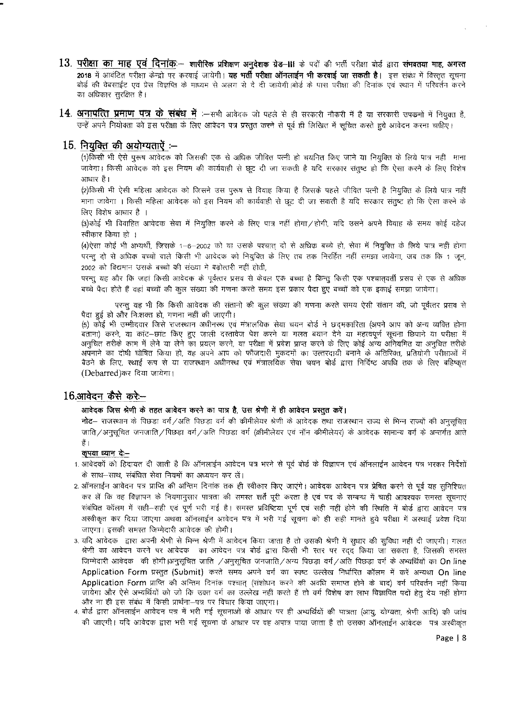- 13. परीक्षा का माह एवं दिनांक शारीरिक प्रशिक्षण अनुदेशक ग्रेड-III के पदों की भर्ती परीक्षा बोर्ड द्वारा संमवतया माह, अगस्त 2018 में आवंटित परीक्षा केन्द्रो पर करवाई जायेगी। **यह भर्ती परीक्षा ऑनलाईन भी करवाई जा सकती है।** इस संबंध में विस्तृत सूचना बोर्ड की वेबसाईट एवं प्रेस विज्ञप्ति के माध्यम से अलग से दे दी जायेगी।बोर्ड के पास परीक्षा की दिनांक एवं स्थान में परिवर्तन करने का अधिकार सुरक्षित है।
- $14$ . अनापत्ति प्रमाण पत्र के संबंध में :-सभी आवेदक जो पहले से ही सरकारी नौकरी में है या सरकारी उपकर्मो में नियुक्त है, उन्हें अपने नियोक्ता को इस परीक्षा के लिए आवेदन पत्र प्रस्तुत करने से पूर्व ही लिखित में सूचित करते हुये आवेदन करना चाहिए।

## $15.$  नियुक्ति की अयोग्यताऐं :--

(1)किसी भी ऐसे पुरूष आवेदक को जिसकी एक से अधिक जीवित पत्नी हो चयनित किए जाने या नियुक्ति के लिये पात्र नहीं माना जावेगा। किसी आवेदक को इस नियम की कार्यवाही से छूट दी जा सकती है यदि सरकार संतुष्ट हो कि ऐसा करने के लिए विशेष आधार है।

(2)किसी भी ऐसी महिला आवेदक को जिसने उस पुरूष से विवाह किया है जिसके पहले जीवित पत्नी है नियुक्ति के लिये पात्र नहीं माना जावेगा । किसी महिला आवेदक को इस नियम की कार्यवाही से छूट दी जा सकती है यदि सरकार संतुष्ट हो कि ऐसा करने के लिए विशेष आधार है ।

(3)कोई भी विवाहित आवेदक सेवा में नियुक्ति करने के लिए पात्र नहीं होगा ⁄ होगी, यदि उसने अपने विवाह के समय कोई दहेज स्वीकार किया हो ।

(4)ऐसा कोई भी अभ्यर्थी, जिसके 1–6–2002 को या उसके पश्चात् दो से अधिक बच्चे हो, सेवा में नियुक्ति के लिये पात्र नहीं होगा परन्तु दो से अधिक बच्चों वाले किसी भी आवेदक को नियुक्ति के लिए तब तक निरर्हित नहीं समझा जायेगा, जब तक कि 1 जून, 2002 को विद्यमान उसके बच्चों की संख्या में बढ़ोत्तरी नहीं होती,

परन्तु यह और कि जहां किसी आवेदक के पूर्वत्तर प्रसव से केवल एक बच्चा है किन्तु किसी एक पश्चातवर्ती प्रसव से एक से अधिक बच्चे पैदा होते हैं वहां बच्चों की कुल संख्या की गणना करते समय इस प्रकार पैदा हुए बच्चों को एक इकाई समझा जायेगा।

परन्तु यह भी कि किसी आवेदक की संतानों की कुल संख्या की गणना करते समय ऐसी संतान की, जो पूर्वत्तर प्रसव से पैदा हुई हो और निःशक्त हो, गणना नहीं की जाएगी।

(5) कोई भी उम्मीदवार जिसे राजस्थान अधीनस्थ एवं मंत्रालयिक सेवा चयन बोर्ड ने छदमकारिता (अपने आप को अन्य व्यक्ति होना बताना) करने, या कांट—छांट किए हुए जाली दस्तावेज पेश करने या गलत बयान देने या महत्वपूर्ण सूचना छिपाने या परीक्षा में अनचित तरीके काम में लेने या लेने का प्रयत्न करने. या परीक्षा में प्रवेश प्राप्त करने के लिए कोई अन्य अनियमित या अनचित तरीके अपनाने का दोषी घोषित किया हो, वह अपने आप को फौजदारी मुकदमों का उत्तरदायी बनाने के अतिरिक्त, प्रतियोगी परीक्षाओं में बैठने के लिए, स्थाई रूप से या राजस्थान अधीनस्थ एवं मंत्रालयिक सेवा चयन बोर्ड द्वारा निर्दिष्ट अवधि तक के लिए बहिष्कृत (Debarred)कर दिया जायेगा।

## 16.आवेदन कैसे करे—

#### आवेदक जिस श्रेणी के तहत आवेदन करने का पात्र है, उस श्रेणी में ही आवेदन प्रस्तुत करें।

**नोट**— राजस्थान के पिछड़ा वर्ग ⁄अति पिछड़ा वर्ग की कीमीलेयर श्रेणी के आवेदक तथा राजस्थान राज्य से भिन्न राज्यों की अनुसूचित जाति/अनुसूचित जनजाति/पिछडा वर्ग/अति पिछडा वर्ग (क्रीमीलेयर एवं नॉन क्रीमीलेयर) के आवेदक सामान्य वर्ग के अन्तर्गत आते हैं ।

#### कृपया घ्यान दे—

- 1. आवेदकों को हिदायत दी जाती है कि ऑनलाईन आवेदन पत्र भरने से पूर्व बोर्ड के विज्ञापन एवं ऑनलाईन आवेदन पत्र भरकर निर्देशों के साथ-साथ, संबंधित सेवा नियमों का अध्ययन कर लें।
- 2. ऑनलाईन आवेदन पत्र प्राप्ति की अन्तिम दिनांक तक ही स्वीकार किए जाएंगे। आवेदक आवेदन पत्र प्रेषित करने से पूर्व यह सुनिश्चित कर लें कि वह विज्ञापन के नियमानुसार पात्रता की समस्त शर्तें पूरी करता है एवं पद के सम्बन्ध में चाही आवश्यक समस्त सूचनाएं संबंधित कॉलम में सही-सही एवं पूर्ण भरी गई है। समस्त प्रविष्टिया पूर्ण एवं सही नहीं होने की स्थिति में बोर्ड द्वारा आवेदन पत्र अस्वीकृत कर दिया जाएगा अथवा ऑनलाईन आवेदन पत्र में भरी गई सूचना को ही सही मानते हुये परीक्षा में अस्थाई प्रवेश दिया जाएगा। इसकी समस्त जिम्मेदारी आवेदक की होगी।
- 3. यदि आवेदक द्वारा अपनी श्रेणी से भिन्न श्रेणी में आवेदन किया जाता है तो उसकी श्रेणी में सुधार की सुविधा नहीं दी जाएगी। गलत श्रेणी का आवेदन करने पर आवेदक का आवेदन पत्र बोर्ड द्वारा किसी भी स्तर पर रद्द किया जा सकता है, जिसकी समस्त जिम्मेदारी आवेदक) की होगी।अनुसूचित जाति /अनुसूचित जनजाति/अन्य पिछड़ा वर्ग/अति पिछड़ा वर्ग के अभ्यर्थियों का Online Application Form प्रस्तुत (Submit) करते समय अपने वर्ग का स्पष्ट उल्लेख निर्धारित कॉलम में करें अन्यथा On line Application Form प्राप्ति की अन्तिम दिनांक पश्चात् (संशोधन करने की अवधि समाप्त होने के बाद) वर्ग परिवर्तन नहीं किया जायेगा और ऐसे अभ्यर्थियों को जो कि उक्त वर्ग का उल्लेख नहीं करते हैं तो वर्ग विशेष का लाभ विज्ञापित पदों हेतु देय नहीं होगा और ना ही इस संबंध में किसी प्रार्थना-पत्र पर विचार किया जाएगा।

4. बोर्ड द्वारा ऑनलाईन आवेदन पत्र में भरी गई सूचनाओं के आधार पर ही अभ्यर्थियों की पात्रता (आयु, योग्यता, श्रेणी आदि) की जांच की जाएगी। यदि आवेदक द्वारा भरी गई सूचना के आधार पर वह अपात्र पाया जाता है तो उसका ऑनलाईन आवेदक पत्र अस्वीकृत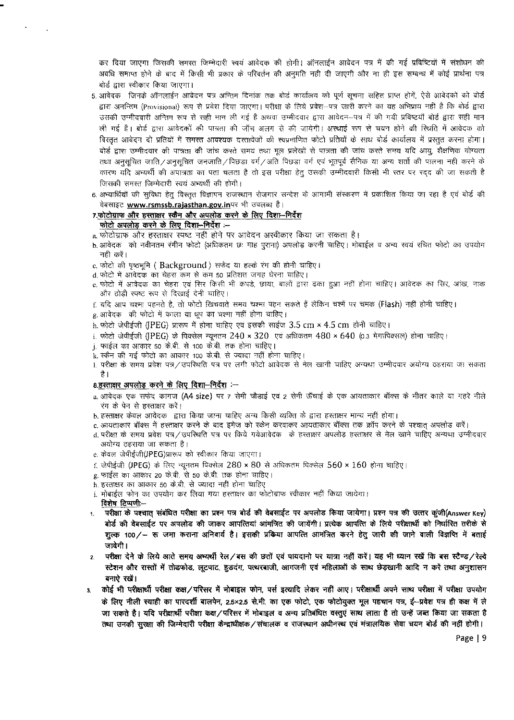कर दिया जाएगा जिसकी समस्त जिम्मेदारी स्वयं आवेदक की होगी। ऑनलाईन आवेदन पत्र में की गई प्रविष्टियों में संशोधन की अवधि समाप्त होने के बाद में किसी भी प्रकार के परिवर्तन की अनुमति नही दी जाएगी और ना ही इस सम्बन्ध में कोई प्रार्थना पत्र बोर्ड द्वारा स्वीकार किया जाएगा।

- 5, आवेदक जिनके ऑनलाईन आवेदन पत्र अन्तिम दिनांक तक बोर्ड कार्यालय को पूर्ण सूचना सहित प्राप्त होगें, ऐसे आवेदकों को बोर्ड द्वारा अनन्तिम (Provisional) रूप से प्रवेश दिया जाएगा। परीक्षा के लिये प्रवेश—पत्र जारी करने का यह अभिप्राय नहीं है कि बोर्ड द्वारा उसकी उम्मीदवारी अन्तिम रूप से सही मान ली गई है अथवा उम्मीदवार द्वारा आवेदन—पत्र में की गयी प्रविष्टयाँ बोर्ड द्वारा सही मान ली गई है। बोर्ड द्वारा आवेदकों की पात्रता की जाँच अलग से की जायेगी। अस्थाई रूप से चयन होने की स्थिति में आवेदक को विस्तत आवेदन दो प्रतियों में समस्त आवश्यक दस्तावेजों की स्वप्रमाणित फोटो प्रतियों के साथ बोर्ड कार्यालय में प्रस्तुत करना होगा। बोर्ड द्वारा उम्मीदवार की पात्रता की जांच करते समय तथा मूल प्रलेखों से पात्रता की जांच करते समय यदि आयू, शैक्षणिक योग्यता तथा अनसचित जाति ⁄ अनसचित जनजाति ⁄ पिछडा वर्ग ⁄ अति पिछडा वर्ग एवं भूतपूर्व सैनिक या अन्य शर्तो की पालना नही करने के कारण यदि अभ्यर्थी की अपात्रता का पता चलता है तो इस परीक्षा हेतु उसकी उम्मीदवारी किसी भी स्तर पर रदद की जा सकती है जिसकी समस्त जिम्मेदारी स्वयं अभ्यर्थी की होगी।
- 6. अभ्यार्थियों की सुविधा हेतू विस्तृत विज्ञापन राजस्थान रोजगार सन्देश के आगामी संस्करण में प्रकाशित किया जा रहा है एवं बोर्ड की वेबसाइट www.rsmssb.rajasthan.gov.inपर भी उपलब्ध है।

#### 7.फोटोग्राफ और हस्ताक्षर स्कैन और अपलोड करने के लिए दिशा-निर्देश फोटो अपलोड करने के लिए दिशा-निर्देश $~\div~$

 $\mathbb{R}^2$ 

- a. फोटोग्राफ और हस्ताक्षर स्पष्ट नहीं होने पर आवेदन अस्वीकार किया जा सकता है।
- b. आवेदक) को नवीनतम रंगीन फोटो (अधिकतम छः माह पूराना) अपलोड करनी चाहिए। मोबाईल व अन्य स्वयं रचित फोटो का उपयोग नही $~\sigma$ रें।
- c. फोटो की पृष्ठभूमि ( Background ) सफेद या हल्के रंग की होनी चाहिए।
- d. फोटो में आवेदक का चेहरा कम से कम 50 प्रतिशत जगह घेरना चाहिए।
- e. फोटो में आवेदक का चेहरा एवं सिर किसी भी कपड़े, छाया, बालों द्वारा ढका हुआ नहीं होना चाहिए। आवेदक का सिर, आंख, नाक और ठोड़ी स्पष्ट रूप से दिखाई देनी चाहिए।
- f. यदि आप चश्मा पहनते है, तो फोटो खिंचवाते समय चश्मा पहन सकते हैं लेकिन चश्में पर चमक (Flash) नहीं होनी चाहिए।
- g. आवेदक की फोटो में काला या धूप का चश्मा नहीं होना चाहिए।
- h. फोटो जेपीईजी (JPEG) प्रारूप में होना चाहिए एवं इसकी साईज 3.5 cm × 4.5 cm होनी चाहिए।
- i, फोटो जेपीईजी (IPEG) के पिक्सेल न्यूनतम 240 × 320 एवं अधिकतम 480 × 640 (0.3 मेगापिक्सल) होना चाहिए।
- j. फाईल का आकार 50 के.बी. से 100 के.बी. तक होना चाहिए।
- k. स्कैन की गई फोटो का आकार 100 के.बी. से ज्यादा नहीं होना चाहिए।
- 1. परीक्षा के समय प्रवेश पत्र / उपस्थिति पत्र पर लगी फोटो आवेदक से मेल खानी चाहिए अन्यथा उम्मीदवार अयोग्य ठहराया जा सकता  $\frac{4}{5}$  |

#### 8. हस्ताक्षर अपलोड़ करने के लिए दिशा-निर्देश $~\cdot\text{--}$

- a. आवेदक एक सफेद कागज (A4 size) पर 7 सेमी चौडाई एवं 2 सेमी ऊँचाई के एक आयताकार बॉक्स के भीतर काले या गहरे नीले रंग के पेन से हस्ताक्षर करें।
- b. हस्ताक्षर केवल आवेदक द्वारा किया जाना चाहिए अन्य किसी व्यक्ति के द्वारा हस्ताक्षर मान्य नहीं होगा।
- c. आयताकार बॉक्स में हस्ताक्षर करने के बाद इमेज को स्केन करवाकर आयताकार बॉक्स तक क्रॉप करने के पश्चात अपलोड करें।
- d. परीक्षा के समय प्रवेश पत्र / उपस्थिति पत्र पर किये गयेआवेदक के हस्ताक्षर अपलोड़ हस्ताक्षर से मेल खाने चाहिए अन्यथा उम्मीदवार अयोग्य ठहराया जा सकता है।
- e. केवल जेपीईजी(JPEG)प्रारूप को स्वीकार किया जाएगा।
- f. जेपीईजी (JPEG) के लिए न्यूनतम पिक्सेल 280 × 80 से अधिकतम पिक्सेल 560 × 160 होना चाहिए।
- g. फाईल का आकार 20 के.बी. से 50 के.बी. तक होना चाहिए।
- h. हस्ताक्षर का आकार 50 के.बी. से ज्यादा नहीं होना चाहिए
- i. मोबाईल फोन का उपयोग कर लिया गया हस्ताक्षर का फोटोग्राफ स्वीकार नहीं किया जायेगा।
- विशेष टिप्पणी --परीक्षा के पश्चात् संबंधित परीक्षा का प्रश्न पत्र बोर्ड की वेबसाईट पर अपलोड किया जायेगा। प्रश्न पत्र की उत्तर कूंजी(Answer Key) बोर्ड की वेबसाईट पर अपलोड की जाकर आपत्तियां आंमत्रित की जायेंगी। प्रत्येक आपत्ति के लिये परीक्षार्थी को निर्घारित तरीके से शूल्क 100/— रू जमा कराना अनिवार्य है। इसकी प्रकिया आपत्ति आमंत्रित करने हेतु जारी की जाने वाली विज्ञप्ति में बताई जावेगी ।
- 2. परीक्षा देने के लिये आते समय अभ्यर्थी रेल/बस की छतों एवं पायदानो पर यात्रा नहीं करें। यह भी ध्यान रखें कि बस स्टैण्ड/रेल्वे स्टेशन और रास्तों में तोडफोड, लूटपाट, हुडदंग, पत्थरबाजी, आगजनी एवं महिलाओं के साथ छेड़खानी आदि न करें तथा अनुशासन बनाऐ रखें।
- 3. कोई भी परीक्षार्थी परीक्षा कक्ष ⁄ परिसर में मोबाइल फोन, पर्स इत्यादि लेकर नहीं आए। परीक्षार्थी अपने साथ परीक्षा में परीक्षा उपयोग  $\phi$  लिए नीली स्याही का पारदर्शी बालपेन, 2.5×2.5 से.मी. का एक फोटो, एक फोटोयुक्त मूल पहचान पत्र, ई-प्रवेश पत्र ही कक्ष में ले जा सकते है। यदि परीक्षार्थी परीक्षा कक्ष / परिसर में मोबाइल व अन्य प्रतिबंधित वस्तूएं साथ लाता है तो उन्हें जब्त किया जा सकता है तथा उनकी सुरक्षा की जिम्मेदारी परीक्षा केन्द्राधीक्षक/संचालक व राजस्थान अधीनस्थ एवं मंत्रालयिक सेवा चयन बोर्ड की नहीं होगी।

Page I 9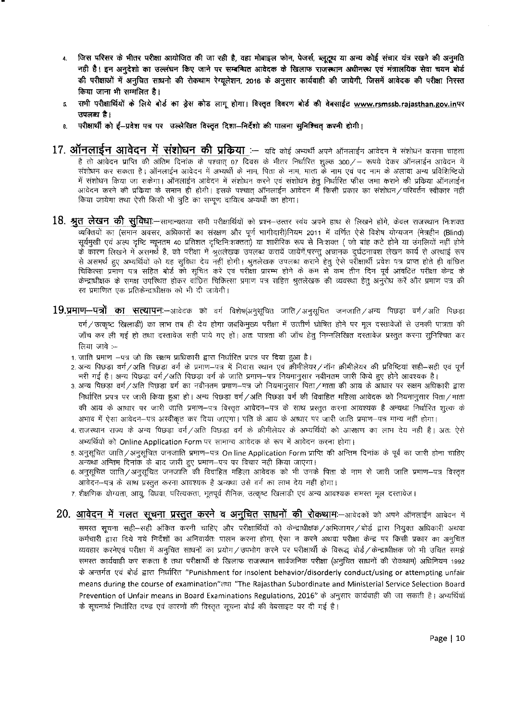- 4. जिस परिसर के भीतर परीक्षा आयोजित की जा रही है, वहा मोबाइल फोन, पेजर्स, ब्लूट्र्थ या अन्य कोई संचार यंत्र रखने की अनुमति नही है। इन अनुदेशो का उल्लंघन किए जाने पर सम्बन्धित आवेदक के खिलाफ राजस्थान अधीनस्थ एवं मंत्रालयिक सेवा चयन बोर्ड की परीक्षाओं में अनुचित साधनो की रोकथाम रेग्यूलेशन, 2016 के अनुसार कार्यवाही की जायेगी, जिसमें आवेदक की परीक्षा निरस्त  $\Phi$ या जाना भी सम्मलित है।
- 5. सभी परीक्षार्थियों के लिये बोर्ड का ड्रेस कोड लागू होगा। विस्तृत विवरण बोर्ड की वेबसाईट www.rsmssb.rajasthan.gov.inपर  $\overline{31}$ ाज़ब्ध $~$ है।
- 6. यरीक्षार्थी को ई-प्रवेश यत्र पर उल्लेखित विस्तृत दिशा-निर्देशो की पालना सुनिश्चित करनी होगी।
- $17.$  **ऑनलाईन आवेदन में संशोधन की प्रकिया** :— यदि कोई अभ्यर्थी अपने ऑनलाईन आवेदन में संशोधन कराना चाहता है तो आवेदन प्राप्ति की अंतिम दिनांक के पश्चात् 07 दिवस के भीतर निर्धारित शूल्क 300/— रूपये देकर ऑनलाईन आवेदन मे संशोधन कर सकता है। ऑनलाईन आवेदन में अभ्यर्थी के नाम, पिता के नाम, माता के नाम एवं पद नाम के अलावा अन्य प्रविशिष्टियों में संशोधन किया जा सकेगा। ऑनलाईन आवेदन में संशोधन करने एवं संशोधन हेतु निर्धारित फीस जमा कराने की प्रक्रिया अ<br>आवेदन करने की प्रक्रिया के समान ही होगी। इसके पश्चात् ऑनलाईन आवेदन में किसी प्रकार का संशोधन/परिवर्तन स्वीव<br>किय आवेदन करने की प्रकिया के समान ही होगी। इसके पश्चात् ऑनलाईन आवेदन में किसी प्रकार का संशोधन ⁄ परिवर्तन स्वीकार नहीं किया जायेगा तथा ऐसी किसी भी त्रुटि का सम्पुण दायित्व अभ्यर्थी का होगा।
- ${\bf 18.}$  **श्रुत लेखन की सुविधा**:—सामान्यतयाः सभी परीक्षार्थियों को प्रश्न—उत्तर स्वय अपने हाथ से लिखने होंगे, केवल राजस्थान निःशक्त व्यक्तियों का (समान अवसर, अधिकारों का संरक्षण और पूर्ण भागीदारी)नियम 2011 में वर्णित ऐसे विशेष योग्यजन (नेत्रहीन (Blind) सूर्यमुखी एवं अल्प दृष्टि न्यूनतम 40 प्रतिशत दृष्टिनिःशक्तता) या शारीरिक रूप से निःशक्त ( जो बांह कटे होने या उंगलियों नहीं होने के कारण लिखने में असमर्थ है, को परीक्षा में श्रुतलेखक उपलब्ध करायें जायेंगें,परन्तु अचानक दुर्घटनावश लेखन कार्य से अस्थाई रूप से असमर्थ हुए अभ्यर्थियों को यह सुविधा देय नहीं होगी। श्रुतलेखक उपलब्ध कराने हेतू ऐसे परीक्षार्थी प्रवेश पत्र प्राप्त होते ही वांछित चिकित्सा प्रमाण पत्र सहित बोर्ड को सचित करें एवं परीक्षा प्रारम्भ होने के कम से कम तीन दिन पूर्व आंवटित परीक्षा केन्द्र के केन्द्राधीक्षक के समक्ष उपस्थित होकर वांछित चिकित्सा प्रमाण पत्र सहित श्रुतलेखक की व्यवस्था हेतु अनुरोध करें और प्रमाण पत्र की स्व प्रमाणित एक प्रतिकेन्द्राधीक्षक को भी दी जायेगी।
- $19.$ प्रमाण—पत्रों का सत्यापनः—आवेदक को वर्ग विशेष(अनुसूचित जाति ⁄ अनुसूचित जनजाति ⁄ अन्य पिछड़ा वर्ग ⁄ अति पिछड़ा वर्ग / उत्कृष्ट खिलाडी) का लाभ तब ही देय होगा जबकिमुख्य परीक्षा में उत्तीर्ण घोषित होने पर मूल दस्तावेजों से उनकी पात्रता की जाँच कर ली गई हो तथा दस्तावेज सही पाये गए हों। अतः पात्रता की जाँच हेतु निम्नलिखित दस्तावेज प्रस्तुत करना सुनिश्चित कर लिया जावे $:=$ 
	- 1. जाति प्रमाण -पत्र जो कि सक्षम प्राधिकारी द्वारा निर्धारित प्रपत्र पर दिया हुआ है।
	- 2. अन्य पिछड़ा वर्ग/अति पिछड़ा वर्ग के प्रमाण-पत्र में निवास स्थान एवं क्रीमीलेयर/नॉन क्रीमीलेयर की प्रविष्टियां सही-सही एवं पूर्ण भरी गई है। अन्य पिछड़ा वर्ग/अति पिछड़ा वर्ग के जाति प्रमाण-पत्र नियमानुसार नवीनतम जारी किये हुए होने आवश्यक है।
	- 3. अन्य पिछड़ा वर्ग/अति पिछड़ा वर्ग का नवीनतम प्रमाण-पत्र जो नियमानुसार पिता/माता की आय के आधार पर सक्षम अधिकारी द्वारा निर्धारित प्रपत्र पर जारी किया हुआ हो। अन्य पिछडा वर्ग ⁄अति पिछडा वर्ग की विवाहित महिला आवेदक को नियमानुसार पिता ⁄माता की आय के आधार पर जारी जाति प्रमाण—पत्र विस्तृत आवेदन—पत्र के साथ प्रस्तुत करना आवश्यक है अन्यथा निर्धारित शुल्क के अभाव में ऐसा आवेदन—पत्र अस्वीकृत कर दिया जाएगा। पति के आय के आधार पर जारी जाति प्रमाण—पत्र मान्य नहीं होगा।
	- 4. राजस्थान राज्य के अन्य पिछड़ा वर्ग ⁄ अति पिछड़ा वर्ग के क्रीमीलेयर के अभ्यर्थियों को आरक्षण का लाभ देय नहीं है। अतः ऐसे अभ्यर्थियों को Online Application Form पर सामान्य आवेदक के रूप में आवेदन करना होगा।
	- 5. अनुसूचित जाति / अनुसूचित जनजाति प्रमाण—पत्र On line Application Form प्राप्ति की अन्तिम दिनांक के पूर्व का जारी होना चाहिए अन्यथा अन्तिम दिनांक के बाद जारी हुए प्रमाण-पत्र पर विचार नही किया जाएगा।
	- 6. अनुसूचित जाति / अनुसूचित जनजाति की विवाहित महिला आवेदक को भी उनके पिता के नाम से जारी जाति प्रमाण–पत्र विस्तृत आवेदन--पत्र के साथ प्रस्तुत करना आवश्यक है अन्यथा उसे वर्ग का लाभ देय नहीं होगा।
	- 7. शैक्षणिक योग्यता, आयु, विधवा, परित्यकता, भूतपूर्व सैनिक, उत्कृष्ट खिलाडी एवं अन्य आवश्यक समस्त मूल दस्तावेज।
- **20. आवेदन में गलत सूचना प्रस्तुत करने व अनुचित साधनों की रोकथामः—आवेदकों को अपने ऑनलाईन आवेदन में** समस्त सूचना सही—सही अंकित करनी चाहिए और परीक्षार्थियों को केन्द्राधीक्षक ⁄ अभिजागर ⁄ बोर्ड द्वारा नियुक्त अधिकारी अथवा कर्मचारी द्वारा दिये गये निर्देशों का अनिवार्यतः पालन करना होगा, ऐसा न करने अथवा परीक्षा केन्द्र पर किसी प्रकार का अनुचित व्यवहार करनेएवं परीक्षा में अनुचित साधनों का प्रयोग ∕ उपभोग करने पर परीक्षार्थी के विरूद्ध बोर्ड ∕ केन्द्राधीक्षक जो भी उचित समझे समस्त कार्यवाही कर सकता है तथा परीक्षार्थी के खिलाफ राजस्थान सार्वजनिक परीक्षा (अनुचित साधनों की रोकथाम) अधिनियम 1992 के अन्तर्गत एवं बोर्ड द्वारा निर्धारित "Punishment for insolent behavior/disorderly conduct/using or attempting unfair means during the course of examination" real "The Rajasthan Subordinate and Ministerial Service Selection Board Prevention of Unfair means in Board Examinations Regulations, 2016" के अनुसार कार्यवाही की जा सकती है। अभ्यर्थियों के सूचनार्थ निर्धारित दण्ड एवं कारणों की विस्तृत सूचना बोर्ड की वेबसाइट पर दी गई है।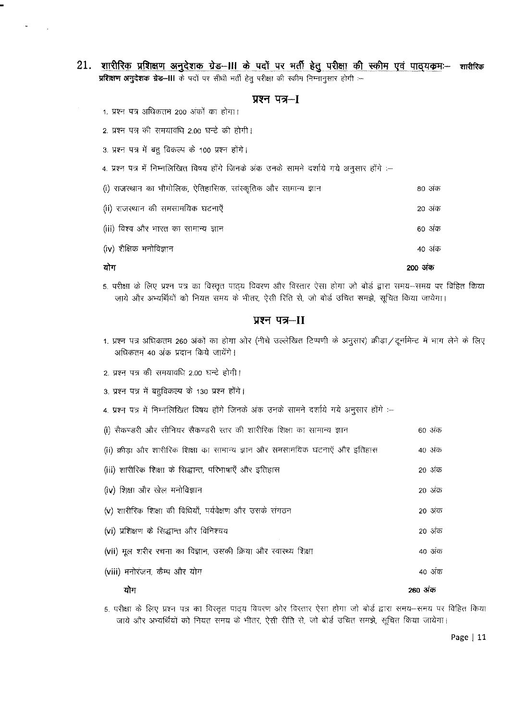- 21. शारीरिक प्रशिक्षण अनुदेशक ग्रेड-III के पदों पर भर्ती हेतु परीक्षा की स्कीम एवं पाठ्यकमः- शारीरिक प्रशिक्षण अनुदेशक ग्रेड-III के पदों पर सीधी भर्ती हेतु परीक्षा की स्कीम निम्नानुसार होगी :-
	- प्रश्न पत्र-- [
	- 1. प्रश्न पत्र अधिकतम 200 अंकों का होगा।
	- 2. प्रश्न पत्र की समयावधि 2.00 घन्टे की होगी।
	- 3. प्रश्न पत्र में बहु विकल्प के 100 प्रश्न होंगे।
	- 4. प्रश्न पत्र में निम्नलिखित विषय होंगे जिनके अंक उनके सामने दर्शाये गये अनुसार होंगे :-

| योग                                                            | 200 अक |
|----------------------------------------------------------------|--------|
| (iv) शैक्षिक मनोविज्ञान                                        | 40 अंक |
| (iii) विश्व और भारत का सामान्य ज्ञान                           | 60 अंक |
| (ii) राजस्थान की समसामयिक घटनाएँ                               | 20 अंक |
| (i) राजस्थान का भौगोलिक, ऐतिहासिक, सांस्कृतिक और सामान्य ज्ञान | 80 अक  |

5. परीक्षा के लिए प्रश्न पत्र का विस्तृत पाठ्य विवरण और विस्तार ऐसा होगा जो बोर्ड द्वारा समय-समय पर विहित किया जाये और अभ्यर्थियों को नियत समय के भीतर, ऐसी रिति से, जो बोर्ड उचित समझे, सूचित किया जायेगा।

### प्रश्न पत्र-II

- 1. प्रश्न पत्र अधिकतम 260 अंकों का होगा ओर (नीचे उल्लेखित टिप्पणी के अनुसार) क्रीड़ा / टूर्नामेन्ट में भाग लेने के लिए अधिकतम 40 अंक प्रदान किये जायेंगे।
- 2. प्रश्न पत्र की समयावधि 2.00 घन्टे होगी।
- 3. प्रश्न पत्र में बहुविकल्प के 130 प्रश्न होंगे।
- 4. प्रश्न पत्र में निम्नलिखित विषय होंगे जिनके अंक उनके सामने दर्शाये गये अनुसार होंगे :-

| ग्रोग                                                                       | २६० अक्र |
|-----------------------------------------------------------------------------|----------|
| (viii) मनोरंजन, कैम्प और योग                                                | 40 अंक   |
| (vii) मूल शरीर रचना का विज्ञान, उसकी क्रिया और स्वास्थ्य शिक्षा             | 40 अंक   |
| (vi) प्रशिक्षण के सिद्धान्त और विनिश्चय                                     | 20 अक    |
| (v) शारीरिक शिक्षा की विधियाँ, पर्यवेक्षण और उसके संगठन                     | 20 अंक   |
| (iv) शिक्षा और खेल मनोविज्ञान                                               | 20 अंक   |
| (iii) शारीरिक शिक्षा के सिद्धान्त, परिभाषाएँ और इतिहास                      | 20 अंक   |
| (ii) क्रीडा और शारीरिक शिक्षा का सामान्य ज्ञान और समसामयिक घटनाएँ और इतिहास | 40 अंक   |
| (i) सैकण्डरी और सीनियर सैकण्डरी स्तर की शारीरिक शिक्षा का सामान्य ज्ञान     | 60 अंक   |

5. परीक्षा के लिए प्रश्न पत्र का विस्तृत पाठ्य विवरण ओर विस्तार ऐसा होगा जो बोर्ड द्वारा समय-समय पर विहित किया जाये और अभ्यर्थियों को नियत समय के भीतर, ऐसी रीति से, जो बोर्ड उचित समझे, सूचित किया जायेगा।

Page | 11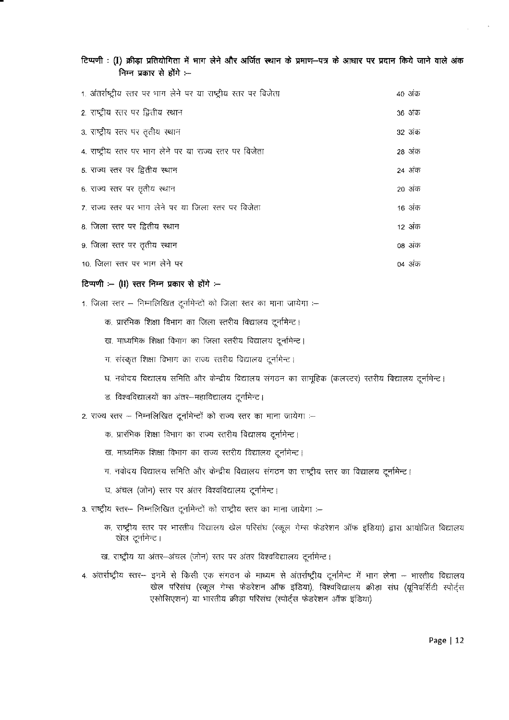|  |  | टिप्पणी : (I) क्रीड़ा प्रतियोगिता में भाग लेने और अर्जित स्थान के प्रमाण-पत्र के आधार पर प्रदान किये जाने वाले अंक |  |  |  |  |  |  |  |  |
|--|--|--------------------------------------------------------------------------------------------------------------------|--|--|--|--|--|--|--|--|
|  |  | निम्न प्रकार से होंगे :---                                                                                         |  |  |  |  |  |  |  |  |

| 1. अंतर्राष्ट्रीय स्तर पर भाग लेने पर या राष्ट्रीय स्तर पर विजेता | 40 अंक |
|-------------------------------------------------------------------|--------|
| 2. राष्ट्रीय स्तर पर द्वितीय स्थान                                | 36 अंक |
| 3. राष्ट्रीय स्तर पर तृतीय स्थान                                  | 32 अंक |
| 4. राष्ट्रीय स्तर पर भाग लेने पर या राज्य स्तर पर विजेता          | 28 अंक |
| 5. राज्य स्तर पर द्वितीय स्थान                                    | 24 अंक |
| 6. राज्य स्तर पर तृतीय स्थान                                      | 20 अंक |
| 7. राज्य स्तर पर भाग लेने पर या जिला स्तर पर विजेता               | 16 अंक |
| 8. जिला स्तर पर द्वितीय स्थान                                     | 12 अंक |
| 9. जिला स्तर पर तृतीय स्थान                                       | 08 अंक |
| 10. जिला स्तर पर भाग लेने पर                                      | 04 अंक |

#### **टिप्पणी :- (II) स्तर निम्न प्रकार से होंगे :--**

1. जिला स्तर – निम्नलिखित दूर्नामेन्टों को जिला स्तर का माना जायेगा :-

- क. प्रारंभिक शिक्षा विभाग का जिला स्तरीय विद्यालय टूर्नामेन्ट।
- ख. माध्यमिक शिक्षा विभाग का जिला स्तरीय विद्यालय टूर्नामेन्ट।
- ग. संस्कृत शिक्षा विभाग का राज्य स्तरीय विद्यालय टूर्नामेन्ट।
- घ. नवोदय विद्यालय समिति और केन्द्रीय विद्यालय संगठन का सामूहिक (कलस्टर) स्तरीय विद्यालय दूर्नामेन्ट।
- ड. विश्वविद्यालयों का अंतर-महाविद्यालय टूर्नामेन्ट।
- 2. राज्य स्तर निम्नलिखित टूर्नामेन्टों को राज्य स्तर का माना जायेगा :-
	- क. प्रारंभिक शिक्षा विभाग का राज्य स्तरीय विद्यालय टूर्नामेन्ट।
	- ख. माध्यमिक शिक्षा विभाग का राज्य स्तरीय विद्यालय टूर्नामेन्ट।
	- ग. नवोदय विद्यालय समिति और केन्द्रीय विद्यालय संगठन का राष्ट्रीय स्तर का विद्यालय टूर्नामेन्ट।
	- घ. अंचल (जोन) स्तर पर अंतर विश्वविद्यालय टूर्नामेन्ट।
- 3. राष्ट्रीय स्तर- निम्नलिखित दूर्नामेन्टों को राष्ट्रीय स्तर का माना जायेगा :--
	- क. राष्ट्रीय स्तर पर भारतीय विद्यालय खेल परिसंघ (स्कूल गेम्स फेडरेशन ऑफ इंडिया) द्वारा आयोजित विद्यालय खेल टूर्नामेन्ट।
	- ख. राष्ट्रीय या अंतर-अंचल (जोन) स्तर पर अंतर विश्वविद्यालय टूर्नामेन्ट।
- 4. अंतर्राष्ट्रीय स्तर-- इनमें से किसी एक संगठन के माध्यम से अंतर्राष्ट्रीय टूर्नामेन्ट में भाग लेना -- भारतीय विद्यालय खेल परिसंघ (स्कूल गेम्स फेडरेशन ऑफ इंडिया), विश्वविद्यालय क्रीड़ा संघ (यूनिवर्सिटी स्पोर्ट्स एसोसिएशन) या भारतीय क्रीड़ा परिसंघ (स्पोर्ट्स फेडरेशन ऑफ इंडिया)